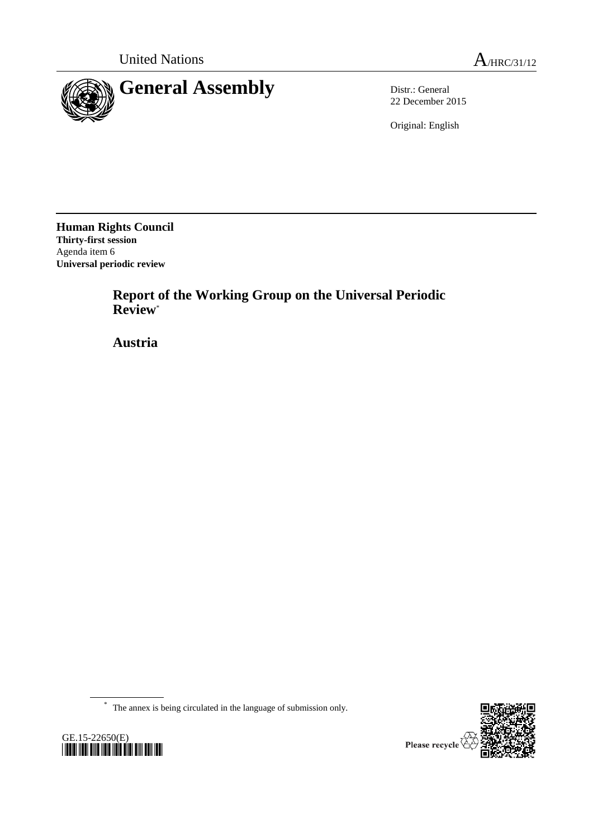

22 December 2015

Original: English

**Human Rights Council Thirty-first session** Agenda item 6 **Universal periodic review**

GE.15-22650(E)

*\*1522650\**

**Report of the Working Group on the Universal Periodic Review**\*

**Austria**

\* The annex is being circulated in the language of submission only.

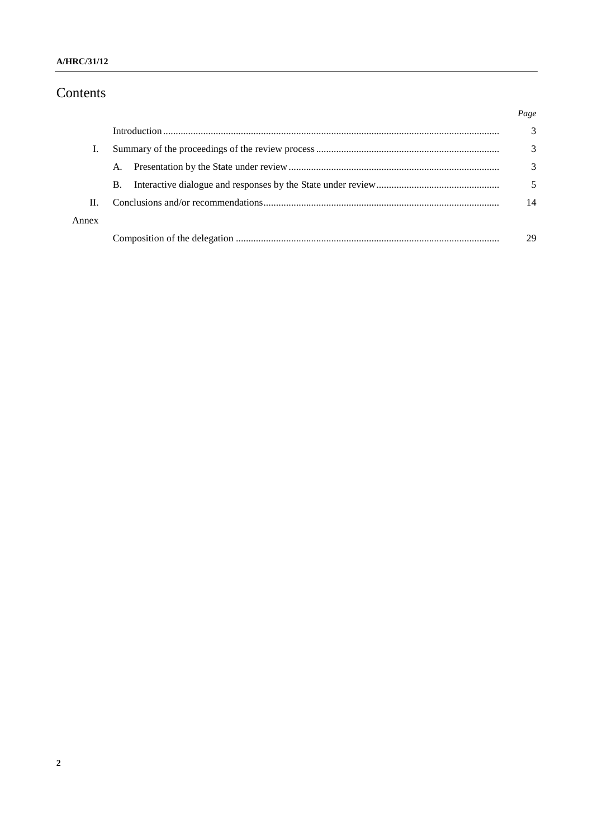#### A/HRC/31/12

# Contents

|       |           | Page |
|-------|-----------|------|
|       |           | 3    |
|       |           | 3    |
|       | A.        | 3    |
|       | <b>B.</b> |      |
| Π.    |           | 14   |
| Annex |           |      |
|       |           | 29   |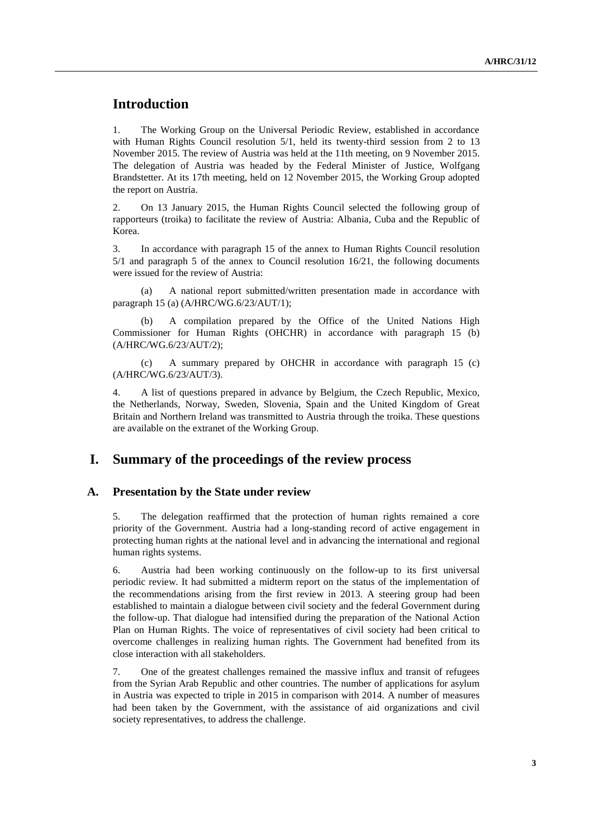# **Introduction**

1. The Working Group on the Universal Periodic Review, established in accordance with Human Rights Council resolution  $5/1$ , held its twenty-third session from 2 to 13 November 2015. The review of Austria was held at the 11th meeting, on 9 November 2015. The delegation of Austria was headed by the Federal Minister of Justice, Wolfgang Brandstetter. At its 17th meeting, held on 12 November 2015, the Working Group adopted the report on Austria.

2. On 13 January 2015, the Human Rights Council selected the following group of rapporteurs (troika) to facilitate the review of Austria: Albania, Cuba and the Republic of Korea.

3. In accordance with paragraph 15 of the annex to Human Rights Council resolution 5/1 and paragraph 5 of the annex to Council resolution 16/21, the following documents were issued for the review of Austria:

(a) A national report submitted/written presentation made in accordance with paragraph 15 (a) (A/HRC/WG.6/23/AUT/1);

A compilation prepared by the Office of the United Nations High Commissioner for Human Rights (OHCHR) in accordance with paragraph 15 (b) (A/HRC/WG.6/23/AUT/2);

(c) A summary prepared by OHCHR in accordance with paragraph 15 (c) (A/HRC/WG.6/23/AUT/3).

4. A list of questions prepared in advance by Belgium, the Czech Republic, Mexico, the Netherlands, Norway, Sweden, Slovenia, Spain and the United Kingdom of Great Britain and Northern Ireland was transmitted to Austria through the troika. These questions are available on the extranet of the Working Group.

## **I. Summary of the proceedings of the review process**

#### **A. Presentation by the State under review**

5. The delegation reaffirmed that the protection of human rights remained a core priority of the Government. Austria had a long-standing record of active engagement in protecting human rights at the national level and in advancing the international and regional human rights systems.

6. Austria had been working continuously on the follow-up to its first universal periodic review. It had submitted a midterm report on the status of the implementation of the recommendations arising from the first review in 2013. A steering group had been established to maintain a dialogue between civil society and the federal Government during the follow-up. That dialogue had intensified during the preparation of the National Action Plan on Human Rights. The voice of representatives of civil society had been critical to overcome challenges in realizing human rights. The Government had benefited from its close interaction with all stakeholders.

7. One of the greatest challenges remained the massive influx and transit of refugees from the Syrian Arab Republic and other countries. The number of applications for asylum in Austria was expected to triple in 2015 in comparison with 2014. A number of measures had been taken by the Government, with the assistance of aid organizations and civil society representatives, to address the challenge.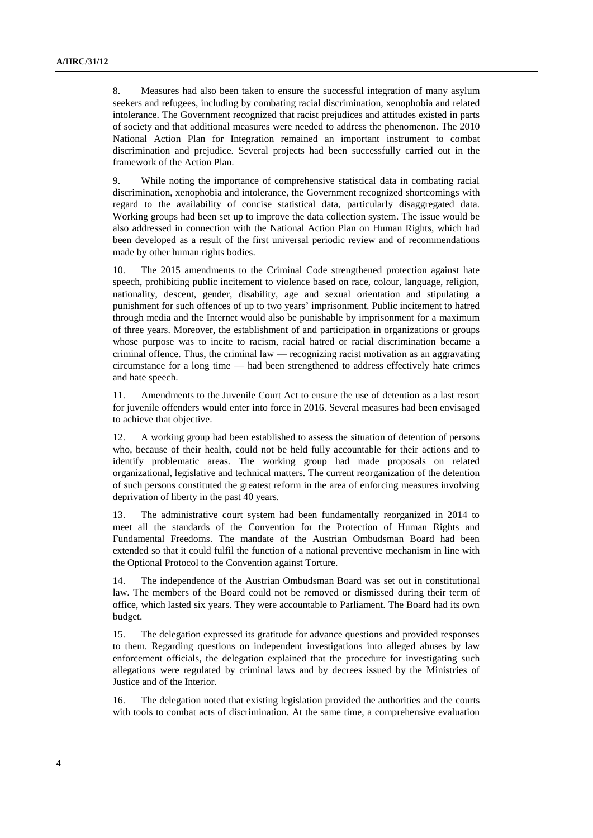8. Measures had also been taken to ensure the successful integration of many asylum seekers and refugees, including by combating racial discrimination, xenophobia and related intolerance. The Government recognized that racist prejudices and attitudes existed in parts of society and that additional measures were needed to address the phenomenon. The 2010 National Action Plan for Integration remained an important instrument to combat discrimination and prejudice. Several projects had been successfully carried out in the framework of the Action Plan.

9. While noting the importance of comprehensive statistical data in combating racial discrimination, xenophobia and intolerance, the Government recognized shortcomings with regard to the availability of concise statistical data, particularly disaggregated data. Working groups had been set up to improve the data collection system. The issue would be also addressed in connection with the National Action Plan on Human Rights, which had been developed as a result of the first universal periodic review and of recommendations made by other human rights bodies.

10. The 2015 amendments to the Criminal Code strengthened protection against hate speech, prohibiting public incitement to violence based on race, colour, language, religion, nationality, descent, gender, disability, age and sexual orientation and stipulating a punishment for such offences of up to two years' imprisonment. Public incitement to hatred through media and the Internet would also be punishable by imprisonment for a maximum of three years. Moreover, the establishment of and participation in organizations or groups whose purpose was to incite to racism, racial hatred or racial discrimination became a criminal offence. Thus, the criminal law — recognizing racist motivation as an aggravating circumstance for a long time — had been strengthened to address effectively hate crimes and hate speech.

11. Amendments to the Juvenile Court Act to ensure the use of detention as a last resort for juvenile offenders would enter into force in 2016. Several measures had been envisaged to achieve that objective.

12. A working group had been established to assess the situation of detention of persons who, because of their health, could not be held fully accountable for their actions and to identify problematic areas. The working group had made proposals on related organizational, legislative and technical matters. The current reorganization of the detention of such persons constituted the greatest reform in the area of enforcing measures involving deprivation of liberty in the past 40 years.

13. The administrative court system had been fundamentally reorganized in 2014 to meet all the standards of the Convention for the Protection of Human Rights and Fundamental Freedoms. The mandate of the Austrian Ombudsman Board had been extended so that it could fulfil the function of a national preventive mechanism in line with the Optional Protocol to the Convention against Torture.

14. The independence of the Austrian Ombudsman Board was set out in constitutional law. The members of the Board could not be removed or dismissed during their term of office, which lasted six years. They were accountable to Parliament. The Board had its own budget.

15. The delegation expressed its gratitude for advance questions and provided responses to them. Regarding questions on independent investigations into alleged abuses by law enforcement officials, the delegation explained that the procedure for investigating such allegations were regulated by criminal laws and by decrees issued by the Ministries of Justice and of the Interior.

16. The delegation noted that existing legislation provided the authorities and the courts with tools to combat acts of discrimination. At the same time, a comprehensive evaluation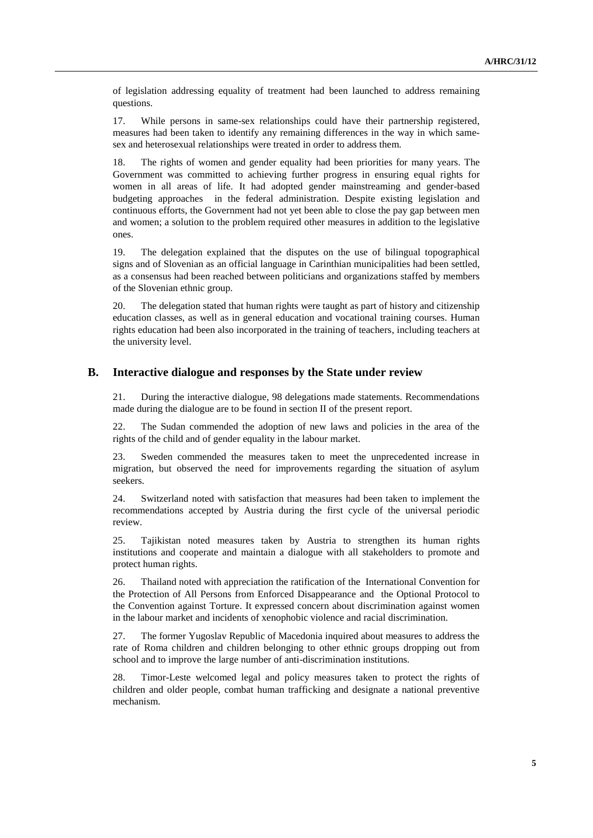of legislation addressing equality of treatment had been launched to address remaining questions.

17. While persons in same-sex relationships could have their partnership registered, measures had been taken to identify any remaining differences in the way in which samesex and heterosexual relationships were treated in order to address them.

18. The rights of women and gender equality had been priorities for many years. The Government was committed to achieving further progress in ensuring equal rights for women in all areas of life. It had adopted gender mainstreaming and gender-based budgeting approaches in the federal administration. Despite existing legislation and continuous efforts, the Government had not yet been able to close the pay gap between men and women; a solution to the problem required other measures in addition to the legislative ones.

19. The delegation explained that the disputes on the use of bilingual topographical signs and of Slovenian as an official language in Carinthian municipalities had been settled, as a consensus had been reached between politicians and organizations staffed by members of the Slovenian ethnic group.

20. The delegation stated that human rights were taught as part of history and citizenship education classes, as well as in general education and vocational training courses. Human rights education had been also incorporated in the training of teachers, including teachers at the university level.

#### **B. Interactive dialogue and responses by the State under review**

21. During the interactive dialogue, 98 delegations made statements. Recommendations made during the dialogue are to be found in section II of the present report.

22. The Sudan commended the adoption of new laws and policies in the area of the rights of the child and of gender equality in the labour market.

23. Sweden commended the measures taken to meet the unprecedented increase in migration, but observed the need for improvements regarding the situation of asylum seekers.

24. Switzerland noted with satisfaction that measures had been taken to implement the recommendations accepted by Austria during the first cycle of the universal periodic review.

25. Tajikistan noted measures taken by Austria to strengthen its human rights institutions and cooperate and maintain a dialogue with all stakeholders to promote and protect human rights.

26. Thailand noted with appreciation the ratification of the International Convention for the Protection of All Persons from Enforced Disappearance and the Optional Protocol to the Convention against Torture. It expressed concern about discrimination against women in the labour market and incidents of xenophobic violence and racial discrimination.

27. The former Yugoslav Republic of Macedonia inquired about measures to address the rate of Roma children and children belonging to other ethnic groups dropping out from school and to improve the large number of anti-discrimination institutions.

28. Timor-Leste welcomed legal and policy measures taken to protect the rights of children and older people, combat human trafficking and designate a national preventive mechanism.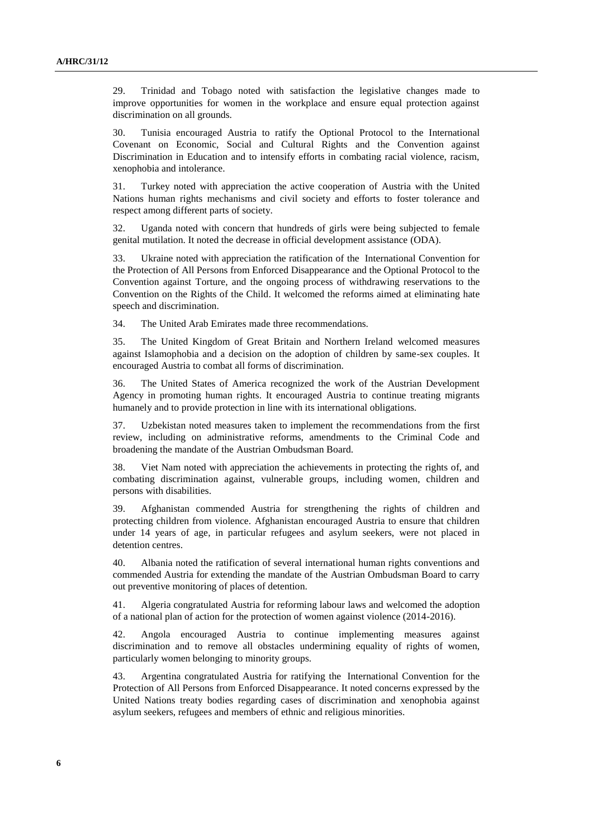29. Trinidad and Tobago noted with satisfaction the legislative changes made to improve opportunities for women in the workplace and ensure equal protection against discrimination on all grounds.

30. Tunisia encouraged Austria to ratify the Optional Protocol to the International Covenant on Economic, Social and Cultural Rights and the Convention against Discrimination in Education and to intensify efforts in combating racial violence, racism, xenophobia and intolerance.

31. Turkey noted with appreciation the active cooperation of Austria with the United Nations human rights mechanisms and civil society and efforts to foster tolerance and respect among different parts of society.

32. Uganda noted with concern that hundreds of girls were being subjected to female genital mutilation. It noted the decrease in official development assistance (ODA).

33. Ukraine noted with appreciation the ratification of the International Convention for the Protection of All Persons from Enforced Disappearance and the Optional Protocol to the Convention against Torture, and the ongoing process of withdrawing reservations to the Convention on the Rights of the Child. It welcomed the reforms aimed at eliminating hate speech and discrimination.

34. The United Arab Emirates made three recommendations.

35. The United Kingdom of Great Britain and Northern Ireland welcomed measures against Islamophobia and a decision on the adoption of children by same-sex couples. It encouraged Austria to combat all forms of discrimination.

36. The United States of America recognized the work of the Austrian Development Agency in promoting human rights. It encouraged Austria to continue treating migrants humanely and to provide protection in line with its international obligations.

37. Uzbekistan noted measures taken to implement the recommendations from the first review, including on administrative reforms, amendments to the Criminal Code and broadening the mandate of the Austrian Ombudsman Board.

38. Viet Nam noted with appreciation the achievements in protecting the rights of, and combating discrimination against, vulnerable groups, including women, children and persons with disabilities.

39. Afghanistan commended Austria for strengthening the rights of children and protecting children from violence. Afghanistan encouraged Austria to ensure that children under 14 years of age, in particular refugees and asylum seekers, were not placed in detention centres.

40. Albania noted the ratification of several international human rights conventions and commended Austria for extending the mandate of the Austrian Ombudsman Board to carry out preventive monitoring of places of detention.

41. Algeria congratulated Austria for reforming labour laws and welcomed the adoption of a national plan of action for the protection of women against violence (2014-2016).

42. Angola encouraged Austria to continue implementing measures against discrimination and to remove all obstacles undermining equality of rights of women, particularly women belonging to minority groups.

43. Argentina congratulated Austria for ratifying the International Convention for the Protection of All Persons from Enforced Disappearance. It noted concerns expressed by the United Nations treaty bodies regarding cases of discrimination and xenophobia against asylum seekers, refugees and members of ethnic and religious minorities.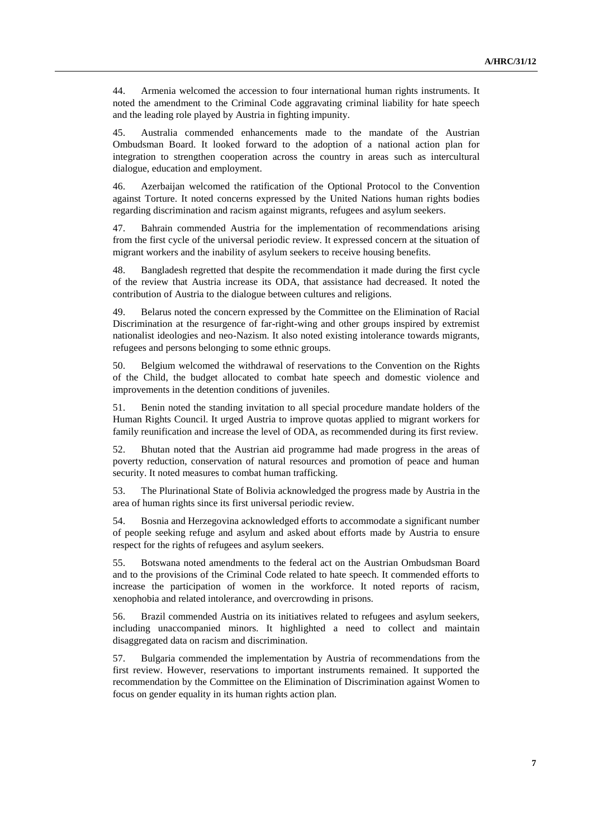44. Armenia welcomed the accession to four international human rights instruments. It noted the amendment to the Criminal Code aggravating criminal liability for hate speech and the leading role played by Austria in fighting impunity.

45. Australia commended enhancements made to the mandate of the Austrian Ombudsman Board. It looked forward to the adoption of a national action plan for integration to strengthen cooperation across the country in areas such as intercultural dialogue, education and employment.

46. Azerbaijan welcomed the ratification of the Optional Protocol to the Convention against Torture. It noted concerns expressed by the United Nations human rights bodies regarding discrimination and racism against migrants, refugees and asylum seekers.

47. Bahrain commended Austria for the implementation of recommendations arising from the first cycle of the universal periodic review. It expressed concern at the situation of migrant workers and the inability of asylum seekers to receive housing benefits.

48. Bangladesh regretted that despite the recommendation it made during the first cycle of the review that Austria increase its ODA, that assistance had decreased. It noted the contribution of Austria to the dialogue between cultures and religions.

49. Belarus noted the concern expressed by the Committee on the Elimination of Racial Discrimination at the resurgence of far-right-wing and other groups inspired by extremist nationalist ideologies and neo-Nazism. It also noted existing intolerance towards migrants, refugees and persons belonging to some ethnic groups.

50. Belgium welcomed the withdrawal of reservations to the Convention on the Rights of the Child, the budget allocated to combat hate speech and domestic violence and improvements in the detention conditions of juveniles.

51. Benin noted the standing invitation to all special procedure mandate holders of the Human Rights Council. It urged Austria to improve quotas applied to migrant workers for family reunification and increase the level of ODA, as recommended during its first review.

52. Bhutan noted that the Austrian aid programme had made progress in the areas of poverty reduction, conservation of natural resources and promotion of peace and human security. It noted measures to combat human trafficking.

53. The Plurinational State of Bolivia acknowledged the progress made by Austria in the area of human rights since its first universal periodic review.

54. Bosnia and Herzegovina acknowledged efforts to accommodate a significant number of people seeking refuge and asylum and asked about efforts made by Austria to ensure respect for the rights of refugees and asylum seekers.

55. Botswana noted amendments to the federal act on the Austrian Ombudsman Board and to the provisions of the Criminal Code related to hate speech. It commended efforts to increase the participation of women in the workforce. It noted reports of racism, xenophobia and related intolerance, and overcrowding in prisons.

56. Brazil commended Austria on its initiatives related to refugees and asylum seekers, including unaccompanied minors. It highlighted a need to collect and maintain disaggregated data on racism and discrimination.

57. Bulgaria commended the implementation by Austria of recommendations from the first review. However, reservations to important instruments remained. It supported the recommendation by the Committee on the Elimination of Discrimination against Women to focus on gender equality in its human rights action plan.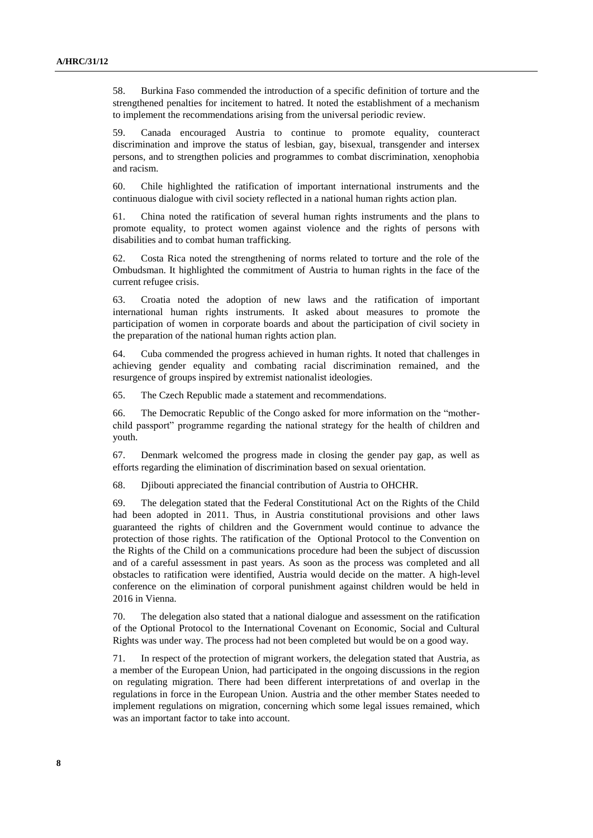58. Burkina Faso commended the introduction of a specific definition of torture and the strengthened penalties for incitement to hatred. It noted the establishment of a mechanism to implement the recommendations arising from the universal periodic review.

59. Canada encouraged Austria to continue to promote equality, counteract discrimination and improve the status of lesbian, gay, bisexual, transgender and intersex persons, and to strengthen policies and programmes to combat discrimination, xenophobia and racism.

60. Chile highlighted the ratification of important international instruments and the continuous dialogue with civil society reflected in a national human rights action plan.

61. China noted the ratification of several human rights instruments and the plans to promote equality, to protect women against violence and the rights of persons with disabilities and to combat human trafficking.

62. Costa Rica noted the strengthening of norms related to torture and the role of the Ombudsman. It highlighted the commitment of Austria to human rights in the face of the current refugee crisis.

63. Croatia noted the adoption of new laws and the ratification of important international human rights instruments. It asked about measures to promote the participation of women in corporate boards and about the participation of civil society in the preparation of the national human rights action plan.

64. Cuba commended the progress achieved in human rights. It noted that challenges in achieving gender equality and combating racial discrimination remained, and the resurgence of groups inspired by extremist nationalist ideologies.

65. The Czech Republic made a statement and recommendations.

66. The Democratic Republic of the Congo asked for more information on the "motherchild passport" programme regarding the national strategy for the health of children and youth.

67. Denmark welcomed the progress made in closing the gender pay gap, as well as efforts regarding the elimination of discrimination based on sexual orientation.

68. Djibouti appreciated the financial contribution of Austria to OHCHR.

69. The delegation stated that the Federal Constitutional Act on the Rights of the Child had been adopted in 2011. Thus, in Austria constitutional provisions and other laws guaranteed the rights of children and the Government would continue to advance the protection of those rights. The ratification of the Optional Protocol to the Convention on the Rights of the Child on a communications procedure had been the subject of discussion and of a careful assessment in past years. As soon as the process was completed and all obstacles to ratification were identified, Austria would decide on the matter. A high-level conference on the elimination of corporal punishment against children would be held in 2016 in Vienna.

70. The delegation also stated that a national dialogue and assessment on the ratification of the Optional Protocol to the International Covenant on Economic, Social and Cultural Rights was under way. The process had not been completed but would be on a good way.

71. In respect of the protection of migrant workers, the delegation stated that Austria, as a member of the European Union, had participated in the ongoing discussions in the region on regulating migration. There had been different interpretations of and overlap in the regulations in force in the European Union. Austria and the other member States needed to implement regulations on migration, concerning which some legal issues remained, which was an important factor to take into account.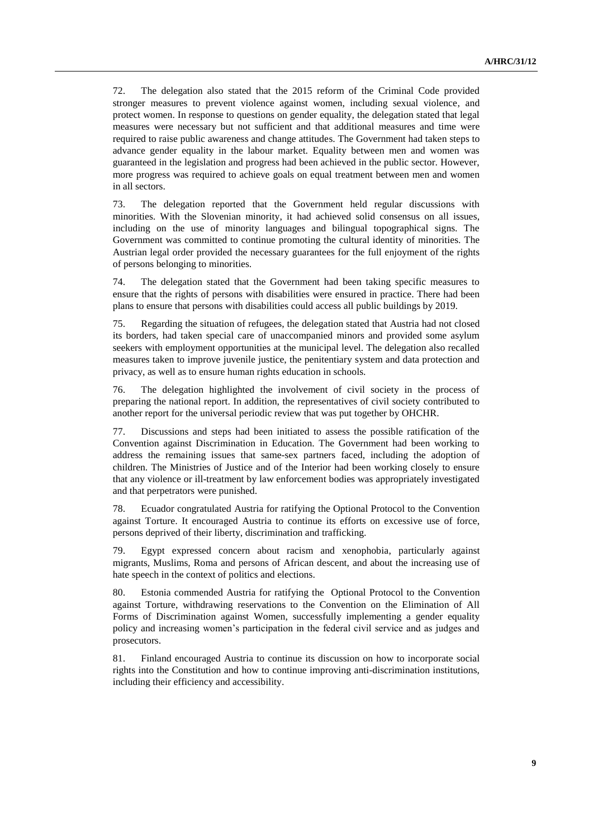72. The delegation also stated that the 2015 reform of the Criminal Code provided stronger measures to prevent violence against women, including sexual violence, and protect women. In response to questions on gender equality, the delegation stated that legal measures were necessary but not sufficient and that additional measures and time were required to raise public awareness and change attitudes. The Government had taken steps to advance gender equality in the labour market. Equality between men and women was guaranteed in the legislation and progress had been achieved in the public sector. However, more progress was required to achieve goals on equal treatment between men and women in all sectors.

73. The delegation reported that the Government held regular discussions with minorities. With the Slovenian minority, it had achieved solid consensus on all issues, including on the use of minority languages and bilingual topographical signs. The Government was committed to continue promoting the cultural identity of minorities. The Austrian legal order provided the necessary guarantees for the full enjoyment of the rights of persons belonging to minorities.

74. The delegation stated that the Government had been taking specific measures to ensure that the rights of persons with disabilities were ensured in practice. There had been plans to ensure that persons with disabilities could access all public buildings by 2019.

75. Regarding the situation of refugees, the delegation stated that Austria had not closed its borders, had taken special care of unaccompanied minors and provided some asylum seekers with employment opportunities at the municipal level. The delegation also recalled measures taken to improve juvenile justice, the penitentiary system and data protection and privacy, as well as to ensure human rights education in schools.

76. The delegation highlighted the involvement of civil society in the process of preparing the national report. In addition, the representatives of civil society contributed to another report for the universal periodic review that was put together by OHCHR.

77. Discussions and steps had been initiated to assess the possible ratification of the Convention against Discrimination in Education. The Government had been working to address the remaining issues that same-sex partners faced, including the adoption of children. The Ministries of Justice and of the Interior had been working closely to ensure that any violence or ill-treatment by law enforcement bodies was appropriately investigated and that perpetrators were punished.

78. Ecuador congratulated Austria for ratifying the Optional Protocol to the Convention against Torture. It encouraged Austria to continue its efforts on excessive use of force, persons deprived of their liberty, discrimination and trafficking.

79. Egypt expressed concern about racism and xenophobia, particularly against migrants, Muslims, Roma and persons of African descent, and about the increasing use of hate speech in the context of politics and elections.

80. Estonia commended Austria for ratifying the Optional Protocol to the Convention against Torture, withdrawing reservations to the Convention on the Elimination of All Forms of Discrimination against Women, successfully implementing a gender equality policy and increasing women's participation in the federal civil service and as judges and prosecutors.

81. Finland encouraged Austria to continue its discussion on how to incorporate social rights into the Constitution and how to continue improving anti-discrimination institutions, including their efficiency and accessibility.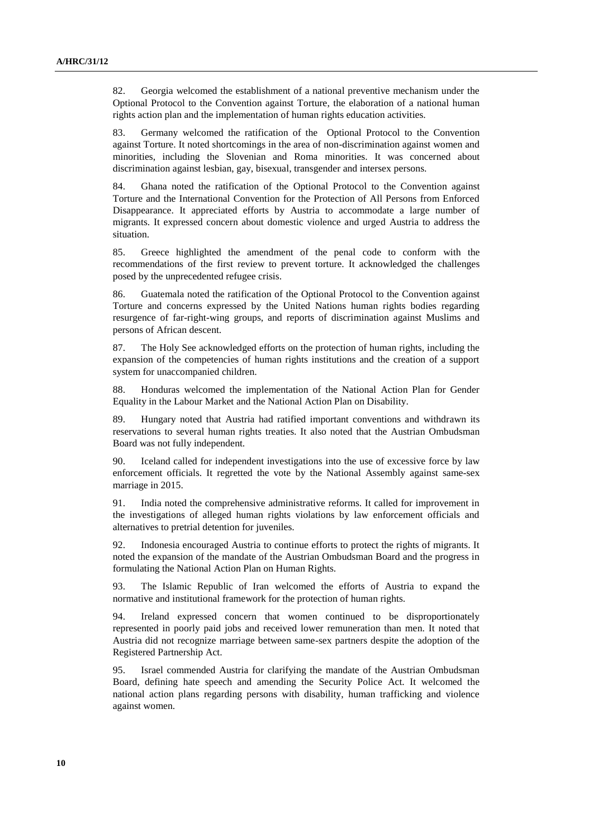82. Georgia welcomed the establishment of a national preventive mechanism under the Optional Protocol to the Convention against Torture, the elaboration of a national human rights action plan and the implementation of human rights education activities.

83. Germany welcomed the ratification of the Optional Protocol to the Convention against Torture. It noted shortcomings in the area of non-discrimination against women and minorities, including the Slovenian and Roma minorities. It was concerned about discrimination against lesbian, gay, bisexual, transgender and intersex persons.

84. Ghana noted the ratification of the Optional Protocol to the Convention against Torture and the International Convention for the Protection of All Persons from Enforced Disappearance. It appreciated efforts by Austria to accommodate a large number of migrants. It expressed concern about domestic violence and urged Austria to address the situation.

85. Greece highlighted the amendment of the penal code to conform with the recommendations of the first review to prevent torture. It acknowledged the challenges posed by the unprecedented refugee crisis.

86. Guatemala noted the ratification of the Optional Protocol to the Convention against Torture and concerns expressed by the United Nations human rights bodies regarding resurgence of far-right-wing groups, and reports of discrimination against Muslims and persons of African descent.

87. The Holy See acknowledged efforts on the protection of human rights, including the expansion of the competencies of human rights institutions and the creation of a support system for unaccompanied children.

88. Honduras welcomed the implementation of the National Action Plan for Gender Equality in the Labour Market and the National Action Plan on Disability.

89. Hungary noted that Austria had ratified important conventions and withdrawn its reservations to several human rights treaties. It also noted that the Austrian Ombudsman Board was not fully independent.

90. Iceland called for independent investigations into the use of excessive force by law enforcement officials. It regretted the vote by the National Assembly against same-sex marriage in 2015.

91. India noted the comprehensive administrative reforms. It called for improvement in the investigations of alleged human rights violations by law enforcement officials and alternatives to pretrial detention for juveniles.

92. Indonesia encouraged Austria to continue efforts to protect the rights of migrants. It noted the expansion of the mandate of the Austrian Ombudsman Board and the progress in formulating the National Action Plan on Human Rights.

93. The Islamic Republic of Iran welcomed the efforts of Austria to expand the normative and institutional framework for the protection of human rights.

94. Ireland expressed concern that women continued to be disproportionately represented in poorly paid jobs and received lower remuneration than men. It noted that Austria did not recognize marriage between same-sex partners despite the adoption of the Registered Partnership Act.

95. Israel commended Austria for clarifying the mandate of the Austrian Ombudsman Board, defining hate speech and amending the Security Police Act. It welcomed the national action plans regarding persons with disability, human trafficking and violence against women.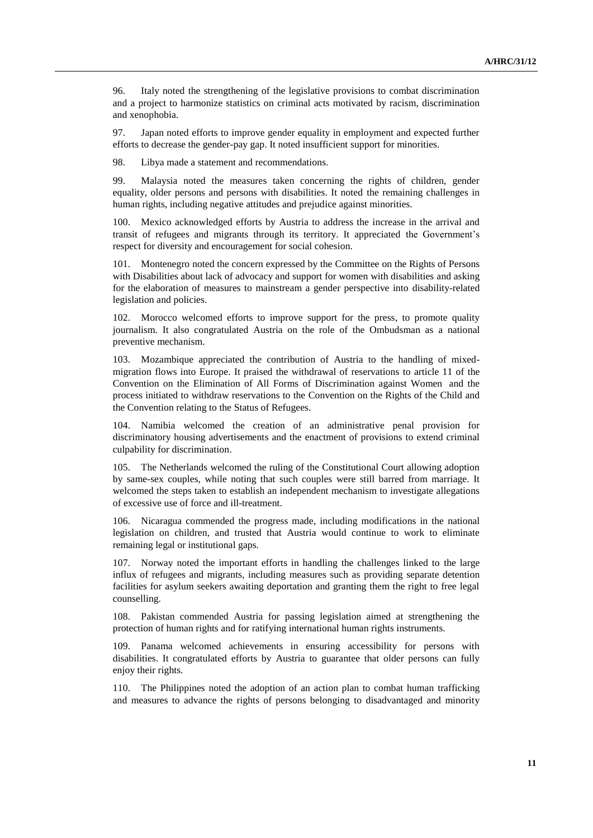96. Italy noted the strengthening of the legislative provisions to combat discrimination and a project to harmonize statistics on criminal acts motivated by racism, discrimination and xenophobia.

97. Japan noted efforts to improve gender equality in employment and expected further efforts to decrease the gender-pay gap. It noted insufficient support for minorities.

98. Libya made a statement and recommendations.

99. Malaysia noted the measures taken concerning the rights of children, gender equality, older persons and persons with disabilities. It noted the remaining challenges in human rights, including negative attitudes and prejudice against minorities.

100. Mexico acknowledged efforts by Austria to address the increase in the arrival and transit of refugees and migrants through its territory. It appreciated the Government's respect for diversity and encouragement for social cohesion.

101. Montenegro noted the concern expressed by the Committee on the Rights of Persons with Disabilities about lack of advocacy and support for women with disabilities and asking for the elaboration of measures to mainstream a gender perspective into disability-related legislation and policies.

102. Morocco welcomed efforts to improve support for the press, to promote quality journalism. It also congratulated Austria on the role of the Ombudsman as a national preventive mechanism.

103. Mozambique appreciated the contribution of Austria to the handling of mixedmigration flows into Europe. It praised the withdrawal of reservations to article 11 of the Convention on the Elimination of All Forms of Discrimination against Women and the process initiated to withdraw reservations to the Convention on the Rights of the Child and the Convention relating to the Status of Refugees.

104. Namibia welcomed the creation of an administrative penal provision for discriminatory housing advertisements and the enactment of provisions to extend criminal culpability for discrimination.

105. The Netherlands welcomed the ruling of the Constitutional Court allowing adoption by same-sex couples, while noting that such couples were still barred from marriage. It welcomed the steps taken to establish an independent mechanism to investigate allegations of excessive use of force and ill-treatment.

106. Nicaragua commended the progress made, including modifications in the national legislation on children, and trusted that Austria would continue to work to eliminate remaining legal or institutional gaps.

107. Norway noted the important efforts in handling the challenges linked to the large influx of refugees and migrants, including measures such as providing separate detention facilities for asylum seekers awaiting deportation and granting them the right to free legal counselling.

108. Pakistan commended Austria for passing legislation aimed at strengthening the protection of human rights and for ratifying international human rights instruments.

109. Panama welcomed achievements in ensuring accessibility for persons with disabilities. It congratulated efforts by Austria to guarantee that older persons can fully enjoy their rights.

110. The Philippines noted the adoption of an action plan to combat human trafficking and measures to advance the rights of persons belonging to disadvantaged and minority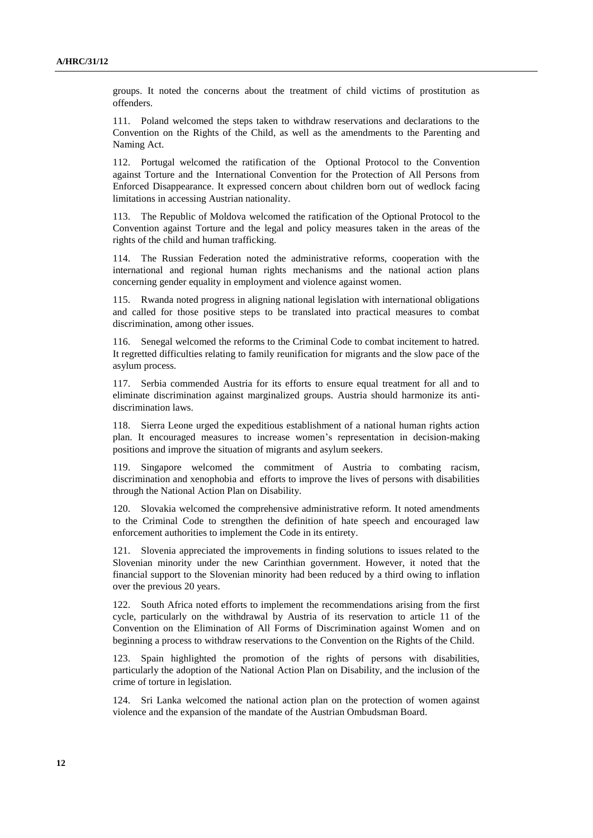groups. It noted the concerns about the treatment of child victims of prostitution as offenders.

111. Poland welcomed the steps taken to withdraw reservations and declarations to the Convention on the Rights of the Child, as well as the amendments to the Parenting and Naming Act.

112. Portugal welcomed the ratification of the Optional Protocol to the Convention against Torture and the International Convention for the Protection of All Persons from Enforced Disappearance. It expressed concern about children born out of wedlock facing limitations in accessing Austrian nationality.

113. The Republic of Moldova welcomed the ratification of the Optional Protocol to the Convention against Torture and the legal and policy measures taken in the areas of the rights of the child and human trafficking.

114. The Russian Federation noted the administrative reforms, cooperation with the international and regional human rights mechanisms and the national action plans concerning gender equality in employment and violence against women.

115. Rwanda noted progress in aligning national legislation with international obligations and called for those positive steps to be translated into practical measures to combat discrimination, among other issues.

116. Senegal welcomed the reforms to the Criminal Code to combat incitement to hatred. It regretted difficulties relating to family reunification for migrants and the slow pace of the asylum process.

117. Serbia commended Austria for its efforts to ensure equal treatment for all and to eliminate discrimination against marginalized groups. Austria should harmonize its antidiscrimination laws.

118. Sierra Leone urged the expeditious establishment of a national human rights action plan. It encouraged measures to increase women's representation in decision-making positions and improve the situation of migrants and asylum seekers.

119. Singapore welcomed the commitment of Austria to combating racism, discrimination and xenophobia and efforts to improve the lives of persons with disabilities through the National Action Plan on Disability.

120. Slovakia welcomed the comprehensive administrative reform. It noted amendments to the Criminal Code to strengthen the definition of hate speech and encouraged law enforcement authorities to implement the Code in its entirety.

121. Slovenia appreciated the improvements in finding solutions to issues related to the Slovenian minority under the new Carinthian government. However, it noted that the financial support to the Slovenian minority had been reduced by a third owing to inflation over the previous 20 years.

122. South Africa noted efforts to implement the recommendations arising from the first cycle, particularly on the withdrawal by Austria of its reservation to article 11 of the Convention on the Elimination of All Forms of Discrimination against Women and on beginning a process to withdraw reservations to the Convention on the Rights of the Child.

123. Spain highlighted the promotion of the rights of persons with disabilities, particularly the adoption of the National Action Plan on Disability, and the inclusion of the crime of torture in legislation.

124. Sri Lanka welcomed the national action plan on the protection of women against violence and the expansion of the mandate of the Austrian Ombudsman Board.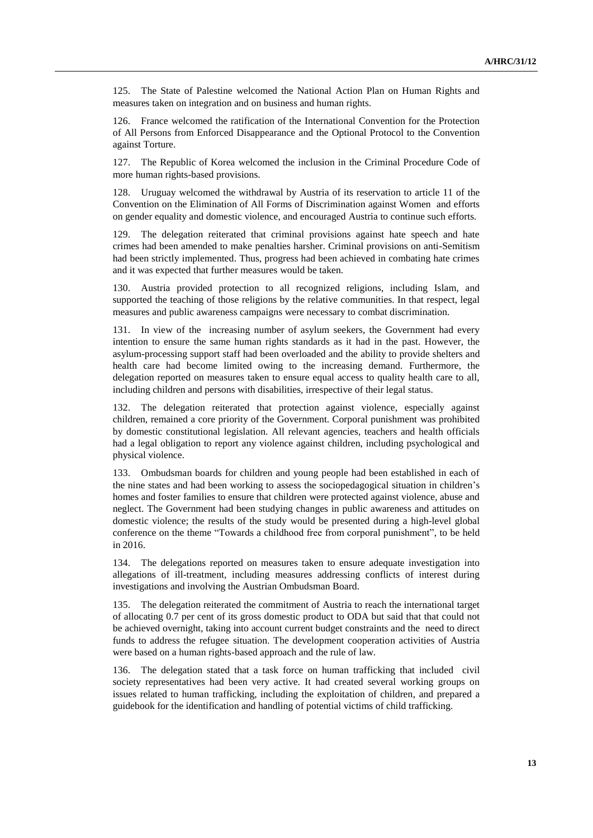125. The State of Palestine welcomed the National Action Plan on Human Rights and measures taken on integration and on business and human rights.

126. France welcomed the ratification of the International Convention for the Protection of All Persons from Enforced Disappearance and the Optional Protocol to the Convention against Torture.

127. The Republic of Korea welcomed the inclusion in the Criminal Procedure Code of more human rights-based provisions.

Uruguay welcomed the withdrawal by Austria of its reservation to article 11 of the Convention on the Elimination of All Forms of Discrimination against Women and efforts on gender equality and domestic violence, and encouraged Austria to continue such efforts.

129. The delegation reiterated that criminal provisions against hate speech and hate crimes had been amended to make penalties harsher. Criminal provisions on anti-Semitism had been strictly implemented. Thus, progress had been achieved in combating hate crimes and it was expected that further measures would be taken.

130. Austria provided protection to all recognized religions, including Islam, and supported the teaching of those religions by the relative communities. In that respect, legal measures and public awareness campaigns were necessary to combat discrimination.

131. In view of the increasing number of asylum seekers, the Government had every intention to ensure the same human rights standards as it had in the past. However, the asylum-processing support staff had been overloaded and the ability to provide shelters and health care had become limited owing to the increasing demand. Furthermore, the delegation reported on measures taken to ensure equal access to quality health care to all, including children and persons with disabilities, irrespective of their legal status.

132. The delegation reiterated that protection against violence, especially against children, remained a core priority of the Government. Corporal punishment was prohibited by domestic constitutional legislation. All relevant agencies, teachers and health officials had a legal obligation to report any violence against children, including psychological and physical violence.

133. Ombudsman boards for children and young people had been established in each of the nine states and had been working to assess the sociopedagogical situation in children's homes and foster families to ensure that children were protected against violence, abuse and neglect. The Government had been studying changes in public awareness and attitudes on domestic violence; the results of the study would be presented during a high-level global conference on the theme "Towards a childhood free from corporal punishment", to be held in 2016.

134. The delegations reported on measures taken to ensure adequate investigation into allegations of ill-treatment, including measures addressing conflicts of interest during investigations and involving the Austrian Ombudsman Board.

135. The delegation reiterated the commitment of Austria to reach the international target of allocating 0.7 per cent of its gross domestic product to ODA but said that that could not be achieved overnight, taking into account current budget constraints and the need to direct funds to address the refugee situation. The development cooperation activities of Austria were based on a human rights-based approach and the rule of law.

136. The delegation stated that a task force on human trafficking that included civil society representatives had been very active. It had created several working groups on issues related to human trafficking, including the exploitation of children, and prepared a guidebook for the identification and handling of potential victims of child trafficking.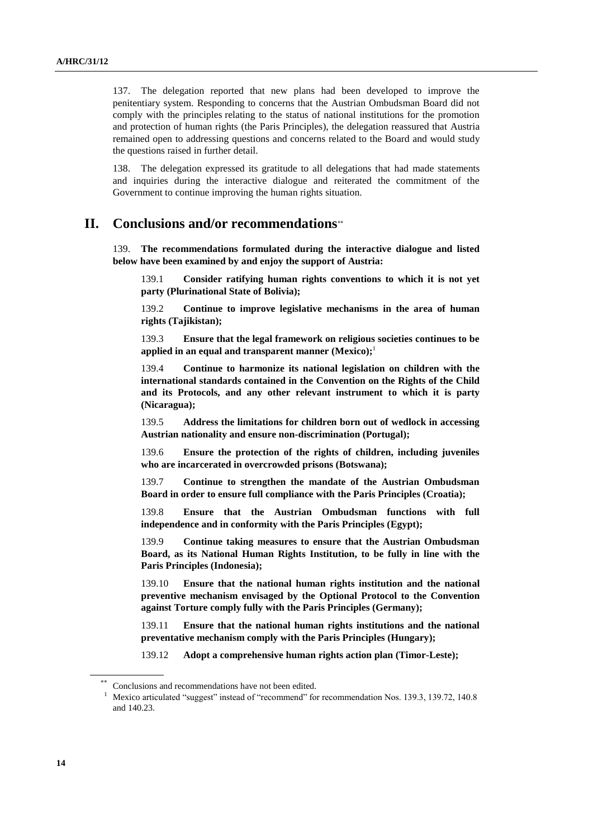137. The delegation reported that new plans had been developed to improve the penitentiary system. Responding to concerns that the Austrian Ombudsman Board did not comply with the principles relating to the status of national institutions for the promotion and protection of human rights (the Paris Principles), the delegation reassured that Austria remained open to addressing questions and concerns related to the Board and would study the questions raised in further detail.

138. The delegation expressed its gratitude to all delegations that had made statements and inquiries during the interactive dialogue and reiterated the commitment of the Government to continue improving the human rights situation.

# **II. Conclusions and/or recommendations**

139. **The recommendations formulated during the interactive dialogue and listed below have been examined by and enjoy the support of Austria:**

139.1 **Consider ratifying human rights conventions to which it is not yet party (Plurinational State of Bolivia);**

139.2 **Continue to improve legislative mechanisms in the area of human rights (Tajikistan);**

139.3 **Ensure that the legal framework on religious societies continues to be applied in an equal and transparent manner (Mexico);** 1

139.4 **Continue to harmonize its national legislation on children with the international standards contained in the Convention on the Rights of the Child and its Protocols, and any other relevant instrument to which it is party (Nicaragua);**

139.5 **Address the limitations for children born out of wedlock in accessing Austrian nationality and ensure non-discrimination (Portugal);**

139.6 **Ensure the protection of the rights of children, including juveniles who are incarcerated in overcrowded prisons (Botswana);**

139.7 **Continue to strengthen the mandate of the Austrian Ombudsman Board in order to ensure full compliance with the Paris Principles (Croatia);**

139.8 **Ensure that the Austrian Ombudsman functions with full independence and in conformity with the Paris Principles (Egypt);**

139.9 **Continue taking measures to ensure that the Austrian Ombudsman Board, as its National Human Rights Institution, to be fully in line with the Paris Principles (Indonesia);**

139.10 **Ensure that the national human rights institution and the national preventive mechanism envisaged by the Optional Protocol to the Convention against Torture comply fully with the Paris Principles (Germany);**

139.11 **Ensure that the national human rights institutions and the national preventative mechanism comply with the Paris Principles (Hungary);**

139.12 **Adopt a comprehensive human rights action plan (Timor-Leste);**

Conclusions and recommendations have not been edited.

<sup>1</sup> Mexico articulated "suggest" instead of "recommend" for recommendation Nos. 139.3, 139.72, 140.8 and 140.23.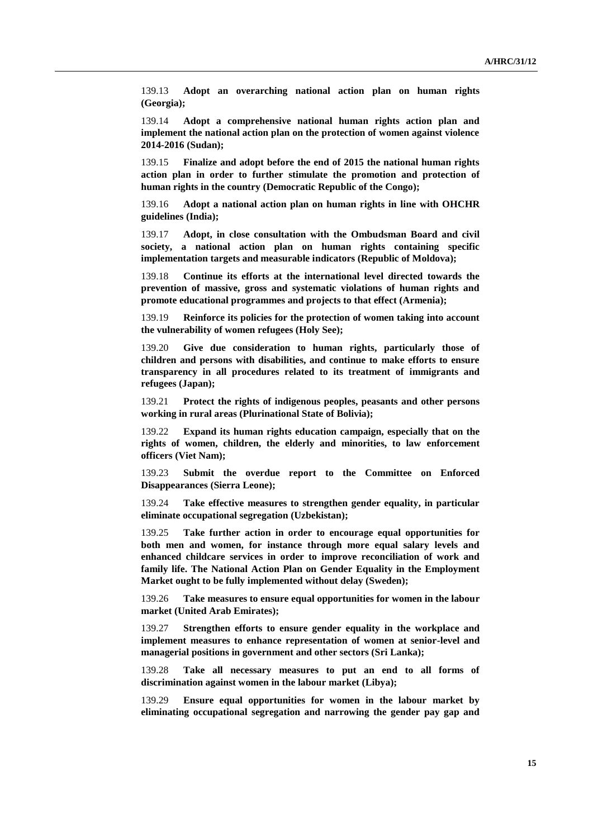139.13 **Adopt an overarching national action plan on human rights (Georgia);**

139.14 **Adopt a comprehensive national human rights action plan and implement the national action plan on the protection of women against violence 2014-2016 (Sudan);**

139.15 **Finalize and adopt before the end of 2015 the national human rights action plan in order to further stimulate the promotion and protection of human rights in the country (Democratic Republic of the Congo);**

139.16 **Adopt a national action plan on human rights in line with OHCHR guidelines (India);**

139.17 **Adopt, in close consultation with the Ombudsman Board and civil society, a national action plan on human rights containing specific implementation targets and measurable indicators (Republic of Moldova);**

139.18 **Continue its efforts at the international level directed towards the prevention of massive, gross and systematic violations of human rights and promote educational programmes and projects to that effect (Armenia);**

139.19 **Reinforce its policies for the protection of women taking into account the vulnerability of women refugees (Holy See);**

139.20 **Give due consideration to human rights, particularly those of children and persons with disabilities, and continue to make efforts to ensure transparency in all procedures related to its treatment of immigrants and refugees (Japan);**

139.21 **Protect the rights of indigenous peoples, peasants and other persons working in rural areas (Plurinational State of Bolivia);**

139.22 **Expand its human rights education campaign, especially that on the rights of women, children, the elderly and minorities, to law enforcement officers (Viet Nam);**

139.23 **Submit the overdue report to the Committee on Enforced Disappearances (Sierra Leone);**

139.24 **Take effective measures to strengthen gender equality, in particular eliminate occupational segregation (Uzbekistan);**

139.25 **Take further action in order to encourage equal opportunities for both men and women, for instance through more equal salary levels and enhanced childcare services in order to improve reconciliation of work and family life. The National Action Plan on Gender Equality in the Employment Market ought to be fully implemented without delay (Sweden);**

139.26 **Take measures to ensure equal opportunities for women in the labour market (United Arab Emirates);**

139.27 **Strengthen efforts to ensure gender equality in the workplace and implement measures to enhance representation of women at senior-level and managerial positions in government and other sectors (Sri Lanka);**

139.28 **Take all necessary measures to put an end to all forms of discrimination against women in the labour market (Libya);**

139.29 **Ensure equal opportunities for women in the labour market by eliminating occupational segregation and narrowing the gender pay gap and**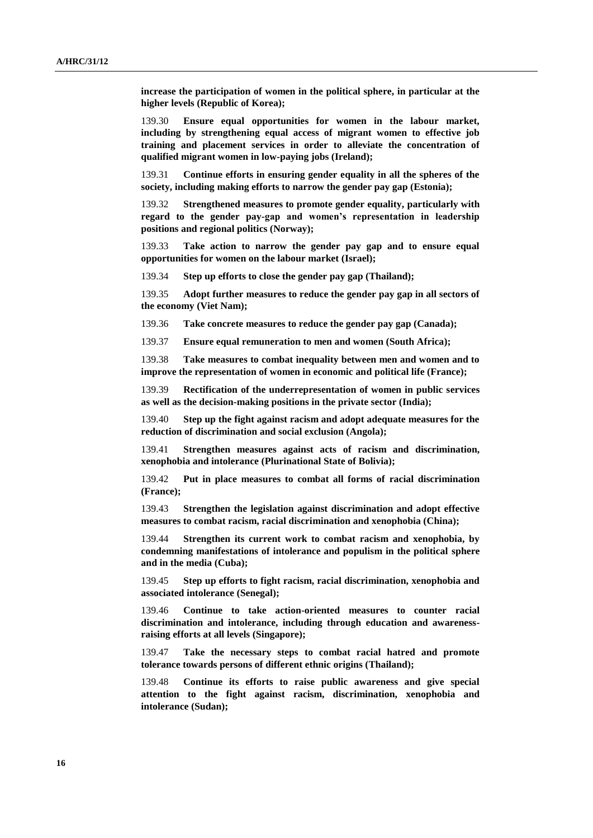**increase the participation of women in the political sphere, in particular at the higher levels (Republic of Korea);**

139.30 **Ensure equal opportunities for women in the labour market, including by strengthening equal access of migrant women to effective job training and placement services in order to alleviate the concentration of qualified migrant women in low-paying jobs (Ireland);**

139.31 **Continue efforts in ensuring gender equality in all the spheres of the society, including making efforts to narrow the gender pay gap (Estonia);**

139.32 **Strengthened measures to promote gender equality, particularly with regard to the gender pay-gap and women's representation in leadership positions and regional politics (Norway);**

139.33 **Take action to narrow the gender pay gap and to ensure equal opportunities for women on the labour market (Israel);**

139.34 **Step up efforts to close the gender pay gap (Thailand);**

139.35 **Adopt further measures to reduce the gender pay gap in all sectors of the economy (Viet Nam);**

139.36 **Take concrete measures to reduce the gender pay gap (Canada);**

139.37 **Ensure equal remuneration to men and women (South Africa);**

139.38 **Take measures to combat inequality between men and women and to improve the representation of women in economic and political life (France);**

139.39 **Rectification of the underrepresentation of women in public services as well as the decision-making positions in the private sector (India);**

139.40 **Step up the fight against racism and adopt adequate measures for the reduction of discrimination and social exclusion (Angola);**

139.41 **Strengthen measures against acts of racism and discrimination, xenophobia and intolerance (Plurinational State of Bolivia);**

139.42 **Put in place measures to combat all forms of racial discrimination (France);**

139.43 **Strengthen the legislation against discrimination and adopt effective measures to combat racism, racial discrimination and xenophobia (China);**

139.44 **Strengthen its current work to combat racism and xenophobia, by condemning manifestations of intolerance and populism in the political sphere and in the media (Cuba);**

139.45 **Step up efforts to fight racism, racial discrimination, xenophobia and associated intolerance (Senegal);**

139.46 **Continue to take action-oriented measures to counter racial discrimination and intolerance, including through education and awarenessraising efforts at all levels (Singapore);**

139.47 **Take the necessary steps to combat racial hatred and promote tolerance towards persons of different ethnic origins (Thailand);**

139.48 **Continue its efforts to raise public awareness and give special attention to the fight against racism, discrimination, xenophobia and intolerance (Sudan);**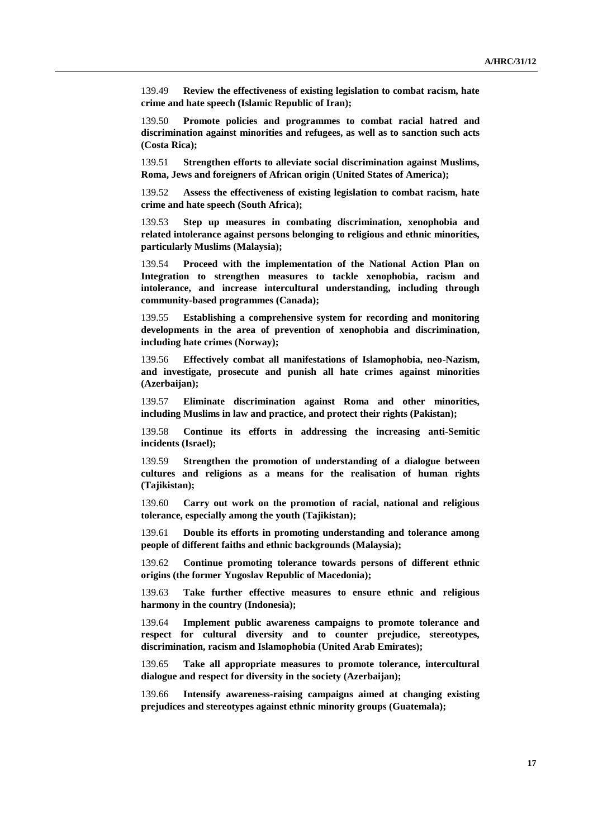139.49 **Review the effectiveness of existing legislation to combat racism, hate crime and hate speech (Islamic Republic of Iran);**

139.50 **Promote policies and programmes to combat racial hatred and discrimination against minorities and refugees, as well as to sanction such acts (Costa Rica);**

139.51 **Strengthen efforts to alleviate social discrimination against Muslims, Roma, Jews and foreigners of African origin (United States of America);**

139.52 **Assess the effectiveness of existing legislation to combat racism, hate crime and hate speech (South Africa);**

139.53 **Step up measures in combating discrimination, xenophobia and related intolerance against persons belonging to religious and ethnic minorities, particularly Muslims (Malaysia);**

139.54 **Proceed with the implementation of the National Action Plan on Integration to strengthen measures to tackle xenophobia, racism and intolerance, and increase intercultural understanding, including through community-based programmes (Canada);**

139.55 **Establishing a comprehensive system for recording and monitoring developments in the area of prevention of xenophobia and discrimination, including hate crimes (Norway);**

139.56 **Effectively combat all manifestations of Islamophobia, neo-Nazism, and investigate, prosecute and punish all hate crimes against minorities (Azerbaijan);**

139.57 **Eliminate discrimination against Roma and other minorities, including Muslims in law and practice, and protect their rights (Pakistan);**

139.58 **Continue its efforts in addressing the increasing anti-Semitic incidents (Israel);**

139.59 **Strengthen the promotion of understanding of a dialogue between cultures and religions as a means for the realisation of human rights (Tajikistan);**

139.60 **Carry out work on the promotion of racial, national and religious tolerance, especially among the youth (Tajikistan);**

139.61 **Double its efforts in promoting understanding and tolerance among people of different faiths and ethnic backgrounds (Malaysia);**

139.62 **Continue promoting tolerance towards persons of different ethnic origins (the former Yugoslav Republic of Macedonia);**

139.63 **Take further effective measures to ensure ethnic and religious harmony in the country (Indonesia);**

139.64 **Implement public awareness campaigns to promote tolerance and respect for cultural diversity and to counter prejudice, stereotypes, discrimination, racism and Islamophobia (United Arab Emirates);**

139.65 **Take all appropriate measures to promote tolerance, intercultural dialogue and respect for diversity in the society (Azerbaijan);**

139.66 **Intensify awareness-raising campaigns aimed at changing existing prejudices and stereotypes against ethnic minority groups (Guatemala);**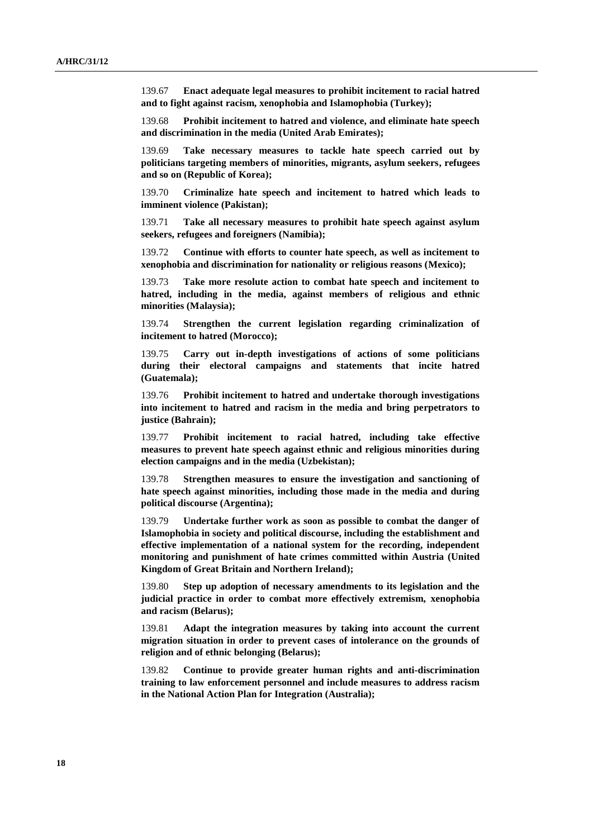139.67 **Enact adequate legal measures to prohibit incitement to racial hatred and to fight against racism, xenophobia and Islamophobia (Turkey);** 

139.68 **Prohibit incitement to hatred and violence, and eliminate hate speech and discrimination in the media (United Arab Emirates);**

139.69 **Take necessary measures to tackle hate speech carried out by politicians targeting members of minorities, migrants, asylum seekers, refugees and so on (Republic of Korea);** 

139.70 **Criminalize hate speech and incitement to hatred which leads to imminent violence (Pakistan);**

139.71 **Take all necessary measures to prohibit hate speech against asylum seekers, refugees and foreigners (Namibia);**

139.72 **Continue with efforts to counter hate speech, as well as incitement to xenophobia and discrimination for nationality or religious reasons (Mexico);**

139.73 **Take more resolute action to combat hate speech and incitement to hatred, including in the media, against members of religious and ethnic minorities (Malaysia);**

139.74 **Strengthen the current legislation regarding criminalization of incitement to hatred (Morocco);**

139.75 **Carry out in-depth investigations of actions of some politicians during their electoral campaigns and statements that incite hatred (Guatemala);**

139.76 **Prohibit incitement to hatred and undertake thorough investigations into incitement to hatred and racism in the media and bring perpetrators to justice (Bahrain);**

139.77 **Prohibit incitement to racial hatred, including take effective measures to prevent hate speech against ethnic and religious minorities during election campaigns and in the media (Uzbekistan);**

139.78 **Strengthen measures to ensure the investigation and sanctioning of hate speech against minorities, including those made in the media and during political discourse (Argentina);**

139.79 **Undertake further work as soon as possible to combat the danger of Islamophobia in society and political discourse, including the establishment and effective implementation of a national system for the recording, independent monitoring and punishment of hate crimes committed within Austria (United Kingdom of Great Britain and Northern Ireland);**

139.80 **Step up adoption of necessary amendments to its legislation and the judicial practice in order to combat more effectively extremism, xenophobia and racism (Belarus);**

139.81 **Adapt the integration measures by taking into account the current migration situation in order to prevent cases of intolerance on the grounds of religion and of ethnic belonging (Belarus);**

139.82 **Continue to provide greater human rights and anti-discrimination training to law enforcement personnel and include measures to address racism in the National Action Plan for Integration (Australia);**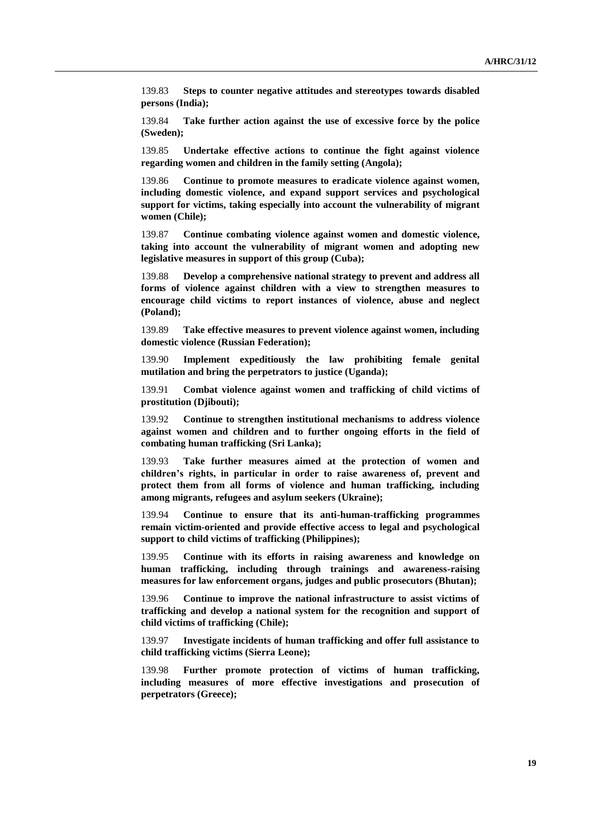139.83 **Steps to counter negative attitudes and stereotypes towards disabled persons (India);**

139.84 **Take further action against the use of excessive force by the police (Sweden);** 

139.85 **Undertake effective actions to continue the fight against violence regarding women and children in the family setting (Angola);**

139.86 **Continue to promote measures to eradicate violence against women, including domestic violence, and expand support services and psychological support for victims, taking especially into account the vulnerability of migrant women (Chile);**

139.87 **Continue combating violence against women and domestic violence, taking into account the vulnerability of migrant women and adopting new legislative measures in support of this group (Cuba);**

139.88 **Develop a comprehensive national strategy to prevent and address all forms of violence against children with a view to strengthen measures to encourage child victims to report instances of violence, abuse and neglect (Poland);**

139.89 **Take effective measures to prevent violence against women, including domestic violence (Russian Federation);**

139.90 **Implement expeditiously the law prohibiting female genital mutilation and bring the perpetrators to justice (Uganda);**

139.91 **Combat violence against women and trafficking of child victims of prostitution (Djibouti);**

139.92 **Continue to strengthen institutional mechanisms to address violence against women and children and to further ongoing efforts in the field of combating human trafficking (Sri Lanka);**

139.93 **Take further measures aimed at the protection of women and children's rights, in particular in order to raise awareness of, prevent and protect them from all forms of violence and human trafficking, including among migrants, refugees and asylum seekers (Ukraine);**

139.94 **Continue to ensure that its anti-human-trafficking programmes remain victim-oriented and provide effective access to legal and psychological support to child victims of trafficking (Philippines);**

139.95 **Continue with its efforts in raising awareness and knowledge on human trafficking, including through trainings and awareness-raising measures for law enforcement organs, judges and public prosecutors (Bhutan);**

139.96 **Continue to improve the national infrastructure to assist victims of trafficking and develop a national system for the recognition and support of child victims of trafficking (Chile);**

139.97 **Investigate incidents of human trafficking and offer full assistance to child trafficking victims (Sierra Leone);**

139.98 **Further promote protection of victims of human trafficking, including measures of more effective investigations and prosecution of perpetrators (Greece);**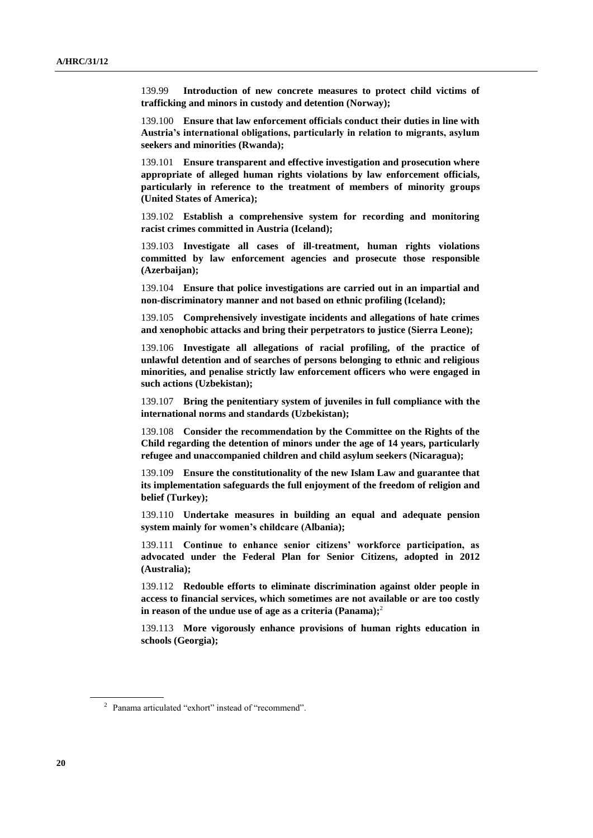139.99 **Introduction of new concrete measures to protect child victims of trafficking and minors in custody and detention (Norway);**

139.100 **Ensure that law enforcement officials conduct their duties in line with Austria's international obligations, particularly in relation to migrants, asylum seekers and minorities (Rwanda);**

139.101 **Ensure transparent and effective investigation and prosecution where appropriate of alleged human rights violations by law enforcement officials, particularly in reference to the treatment of members of minority groups (United States of America);**

139.102 **Establish a comprehensive system for recording and monitoring racist crimes committed in Austria (Iceland);** 

139.103 **Investigate all cases of ill-treatment, human rights violations committed by law enforcement agencies and prosecute those responsible (Azerbaijan);**

139.104 **Ensure that police investigations are carried out in an impartial and non-discriminatory manner and not based on ethnic profiling (Iceland);**

139.105 **Comprehensively investigate incidents and allegations of hate crimes and xenophobic attacks and bring their perpetrators to justice (Sierra Leone);**

139.106 **Investigate all allegations of racial profiling, of the practice of unlawful detention and of searches of persons belonging to ethnic and religious minorities, and penalise strictly law enforcement officers who were engaged in such actions (Uzbekistan);**

139.107 **Bring the penitentiary system of juveniles in full compliance with the international norms and standards (Uzbekistan);**

139.108 **Consider the recommendation by the Committee on the Rights of the Child regarding the detention of minors under the age of 14 years, particularly refugee and unaccompanied children and child asylum seekers (Nicaragua);**

139.109 **Ensure the constitutionality of the new Islam Law and guarantee that its implementation safeguards the full enjoyment of the freedom of religion and belief (Turkey);**

139.110 **Undertake measures in building an equal and adequate pension system mainly for women's childcare (Albania);**

139.111 **Continue to enhance senior citizens' workforce participation, as advocated under the Federal Plan for Senior Citizens, adopted in 2012 (Australia);**

139.112 **Redouble efforts to eliminate discrimination against older people in access to financial services, which sometimes are not available or are too costly in reason of the undue use of age as a criteria (Panama);** 2

139.113 **More vigorously enhance provisions of human rights education in schools (Georgia);**

<sup>&</sup>lt;sup>2</sup> Panama articulated "exhort" instead of "recommend".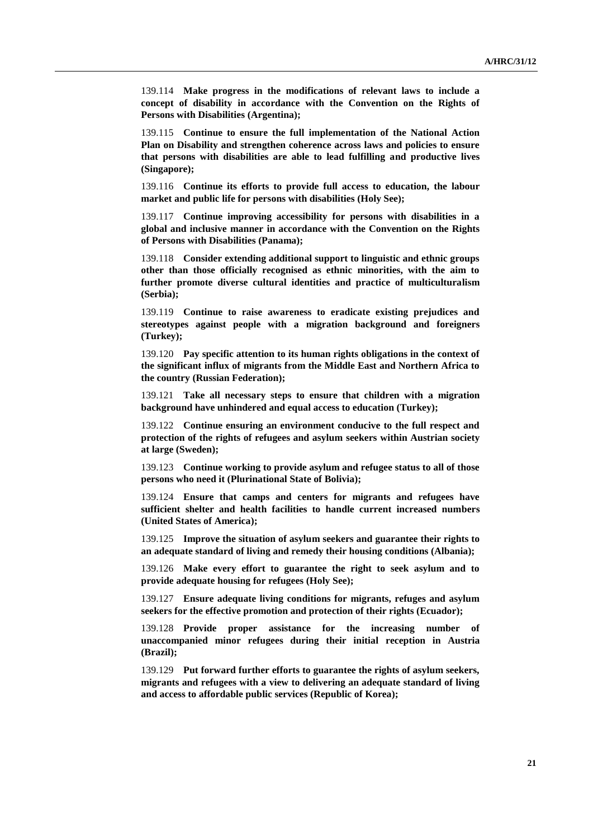139.114 **Make progress in the modifications of relevant laws to include a concept of disability in accordance with the Convention on the Rights of Persons with Disabilities (Argentina);**

139.115 **Continue to ensure the full implementation of the National Action Plan on Disability and strengthen coherence across laws and policies to ensure that persons with disabilities are able to lead fulfilling and productive lives (Singapore);**

139.116 **Continue its efforts to provide full access to education, the labour market and public life for persons with disabilities (Holy See);**

139.117 **Continue improving accessibility for persons with disabilities in a global and inclusive manner in accordance with the Convention on the Rights of Persons with Disabilities (Panama);**

139.118 **Consider extending additional support to linguistic and ethnic groups other than those officially recognised as ethnic minorities, with the aim to further promote diverse cultural identities and practice of multiculturalism (Serbia);**

139.119 **Continue to raise awareness to eradicate existing prejudices and stereotypes against people with a migration background and foreigners (Turkey);**

139.120 **Pay specific attention to its human rights obligations in the context of the significant influx of migrants from the Middle East and Northern Africa to the country (Russian Federation);**

139.121 **Take all necessary steps to ensure that children with a migration background have unhindered and equal access to education (Turkey);**

139.122 **Continue ensuring an environment conducive to the full respect and protection of the rights of refugees and asylum seekers within Austrian society at large (Sweden);**

139.123 **Continue working to provide asylum and refugee status to all of those persons who need it (Plurinational State of Bolivia);**

139.124 **Ensure that camps and centers for migrants and refugees have sufficient shelter and health facilities to handle current increased numbers (United States of America);**

139.125 **Improve the situation of asylum seekers and guarantee their rights to an adequate standard of living and remedy their housing conditions (Albania);**

139.126 **Make every effort to guarantee the right to seek asylum and to provide adequate housing for refugees (Holy See);**

139.127 **Ensure adequate living conditions for migrants, refuges and asylum seekers for the effective promotion and protection of their rights (Ecuador);**

139.128 **Provide proper assistance for the increasing number of unaccompanied minor refugees during their initial reception in Austria (Brazil);**

139.129 **Put forward further efforts to guarantee the rights of asylum seekers, migrants and refugees with a view to delivering an adequate standard of living and access to affordable public services (Republic of Korea);**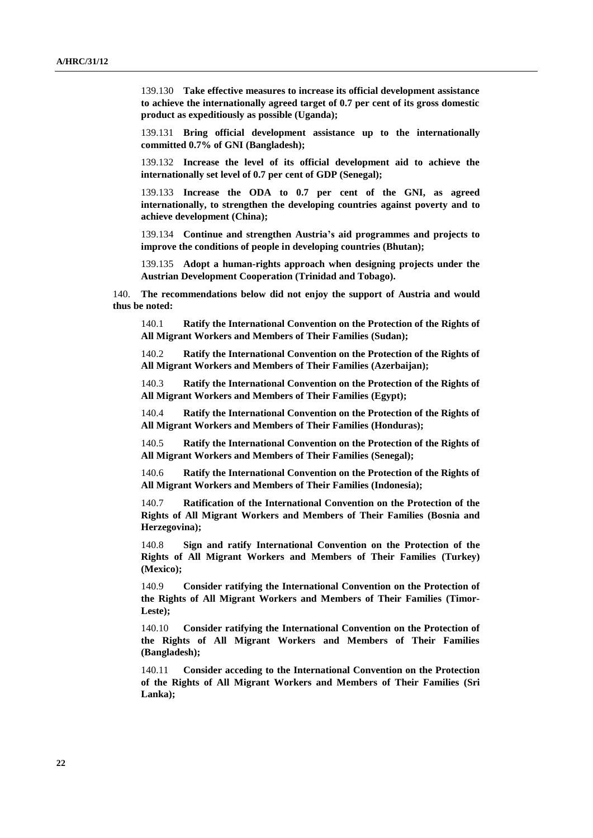139.130 **Take effective measures to increase its official development assistance to achieve the internationally agreed target of 0.7 per cent of its gross domestic product as expeditiously as possible (Uganda);**

139.131 **Bring official development assistance up to the internationally committed 0.7% of GNI (Bangladesh);**

139.132 **Increase the level of its official development aid to achieve the internationally set level of 0.7 per cent of GDP (Senegal);**

139.133 **Increase the ODA to 0.7 per cent of the GNI, as agreed internationally, to strengthen the developing countries against poverty and to achieve development (China);**

139.134 **Continue and strengthen Austria's aid programmes and projects to improve the conditions of people in developing countries (Bhutan);**

139.135 **Adopt a human-rights approach when designing projects under the Austrian Development Cooperation (Trinidad and Tobago).**

140. **The recommendations below did not enjoy the support of Austria and would thus be noted:**

140.1 **Ratify the International Convention on the Protection of the Rights of All Migrant Workers and Members of Their Families (Sudan);**

140.2 **Ratify the International Convention on the Protection of the Rights of All Migrant Workers and Members of Their Families (Azerbaijan);**

140.3 **Ratify the International Convention on the Protection of the Rights of All Migrant Workers and Members of Their Families (Egypt);**

140.4 **Ratify the International Convention on the Protection of the Rights of All Migrant Workers and Members of Their Families (Honduras);**

140.5 **Ratify the International Convention on the Protection of the Rights of All Migrant Workers and Members of Their Families (Senegal);**

140.6 **Ratify the International Convention on the Protection of the Rights of All Migrant Workers and Members of Their Families (Indonesia);**

140.7 **Ratification of the International Convention on the Protection of the Rights of All Migrant Workers and Members of Their Families (Bosnia and Herzegovina);**

140.8 **Sign and ratify International Convention on the Protection of the Rights of All Migrant Workers and Members of Their Families (Turkey) (Mexico);**

140.9 **Consider ratifying the International Convention on the Protection of the Rights of All Migrant Workers and Members of Their Families (Timor-Leste);**

140.10 **Consider ratifying the International Convention on the Protection of the Rights of All Migrant Workers and Members of Their Families (Bangladesh);**

140.11 **Consider acceding to the International Convention on the Protection of the Rights of All Migrant Workers and Members of Their Families (Sri Lanka);**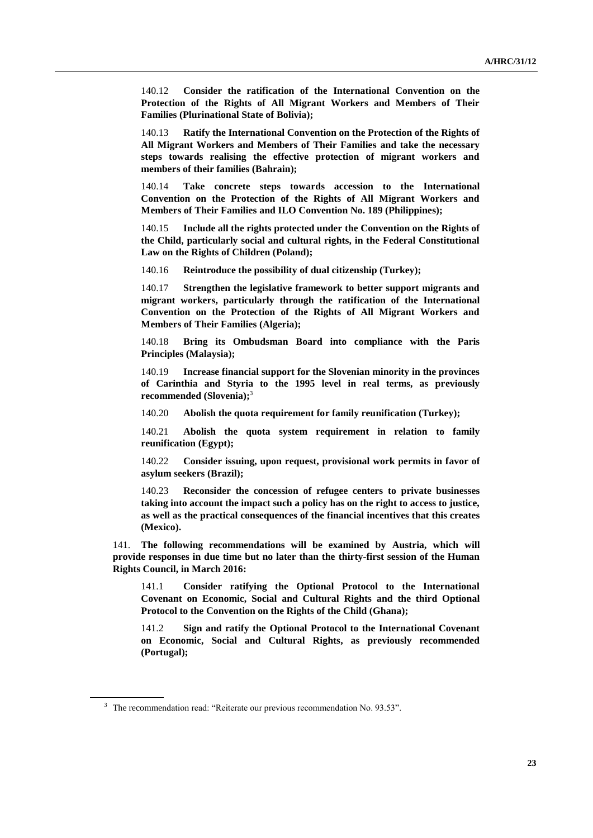140.12 **Consider the ratification of the International Convention on the Protection of the Rights of All Migrant Workers and Members of Their Families (Plurinational State of Bolivia);**

140.13 **Ratify the International Convention on the Protection of the Rights of All Migrant Workers and Members of Their Families and take the necessary steps towards realising the effective protection of migrant workers and members of their families (Bahrain);**

140.14 **Take concrete steps towards accession to the International Convention on the Protection of the Rights of All Migrant Workers and Members of Their Families and ILO Convention No. 189 (Philippines);**

140.15 **Include all the rights protected under the Convention on the Rights of the Child, particularly social and cultural rights, in the Federal Constitutional Law on the Rights of Children (Poland);**

140.16 **Reintroduce the possibility of dual citizenship (Turkey);**

140.17 **Strengthen the legislative framework to better support migrants and migrant workers, particularly through the ratification of the International Convention on the Protection of the Rights of All Migrant Workers and Members of Their Families (Algeria);**

140.18 **Bring its Ombudsman Board into compliance with the Paris Principles (Malaysia);**

140.19 **Increase financial support for the Slovenian minority in the provinces of Carinthia and Styria to the 1995 level in real terms, as previously recommended (Slovenia);**<sup>3</sup>

140.20 **Abolish the quota requirement for family reunification (Turkey);** 

140.21 **Abolish the quota system requirement in relation to family reunification (Egypt);**

140.22 **Consider issuing, upon request, provisional work permits in favor of asylum seekers (Brazil);**

140.23 **Reconsider the concession of refugee centers to private businesses taking into account the impact such a policy has on the right to access to justice, as well as the practical consequences of the financial incentives that this creates (Mexico).**

141. **The following recommendations will be examined by Austria, which will provide responses in due time but no later than the thirty-first session of the Human Rights Council, in March 2016:**

141.1 **Consider ratifying the Optional Protocol to the International Covenant on Economic, Social and Cultural Rights and the third Optional Protocol to the Convention on the Rights of the Child (Ghana);**

141.2 **Sign and ratify the Optional Protocol to the International Covenant on Economic, Social and Cultural Rights, as previously recommended (Portugal);**

<sup>&</sup>lt;sup>3</sup> The recommendation read: "Reiterate our previous recommendation No. 93.53".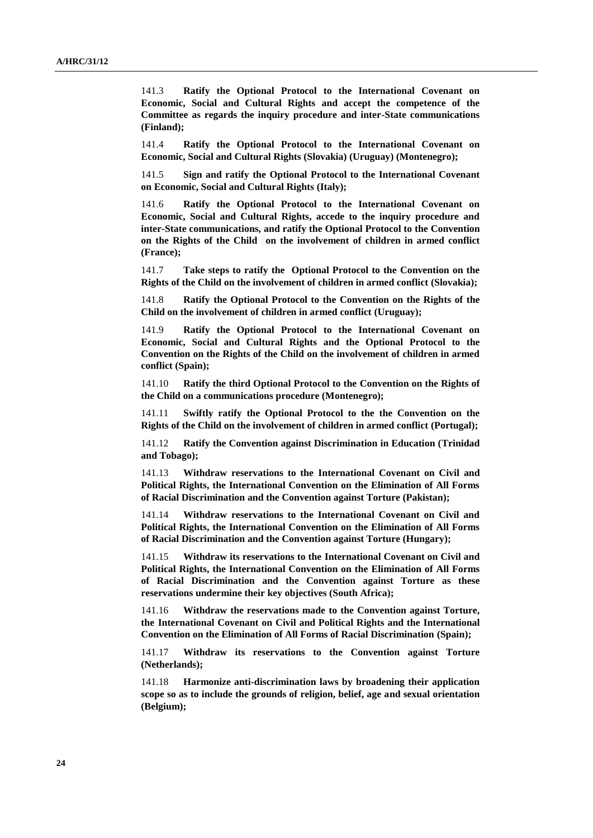141.3 **Ratify the Optional Protocol to the International Covenant on Economic, Social and Cultural Rights and accept the competence of the Committee as regards the inquiry procedure and inter-State communications (Finland);**

141.4 **Ratify the Optional Protocol to the International Covenant on Economic, Social and Cultural Rights (Slovakia) (Uruguay) (Montenegro);**

141.5 **Sign and ratify the Optional Protocol to the International Covenant on Economic, Social and Cultural Rights (Italy);**

141.6 **Ratify the Optional Protocol to the International Covenant on Economic, Social and Cultural Rights, accede to the inquiry procedure and inter-State communications, and ratify the Optional Protocol to the Convention on the Rights of the Child on the involvement of children in armed conflict (France);**

141.7 **Take steps to ratify the Optional Protocol to the Convention on the Rights of the Child on the involvement of children in armed conflict (Slovakia);**

141.8 **Ratify the Optional Protocol to the Convention on the Rights of the Child on the involvement of children in armed conflict (Uruguay);**

141.9 **Ratify the Optional Protocol to the International Covenant on Economic, Social and Cultural Rights and the Optional Protocol to the Convention on the Rights of the Child on the involvement of children in armed conflict (Spain);**

141.10 **Ratify the third Optional Protocol to the Convention on the Rights of the Child on a communications procedure (Montenegro);**

141.11 **Swiftly ratify the Optional Protocol to the the Convention on the Rights of the Child on the involvement of children in armed conflict (Portugal);**

141.12 **Ratify the Convention against Discrimination in Education (Trinidad and Tobago);**

141.13 **Withdraw reservations to the International Covenant on Civil and Political Rights, the International Convention on the Elimination of All Forms of Racial Discrimination and the Convention against Torture (Pakistan);**

141.14 **Withdraw reservations to the International Covenant on Civil and Political Rights, the International Convention on the Elimination of All Forms of Racial Discrimination and the Convention against Torture (Hungary);**

141.15 **Withdraw its reservations to the International Covenant on Civil and Political Rights, the International Convention on the Elimination of All Forms of Racial Discrimination and the Convention against Torture as these reservations undermine their key objectives (South Africa);**

141.16 **Withdraw the reservations made to the Convention against Torture, the International Covenant on Civil and Political Rights and the International Convention on the Elimination of All Forms of Racial Discrimination (Spain);**

141.17 **Withdraw its reservations to the Convention against Torture (Netherlands);**

141.18 **Harmonize anti-discrimination laws by broadening their application scope so as to include the grounds of religion, belief, age and sexual orientation (Belgium);**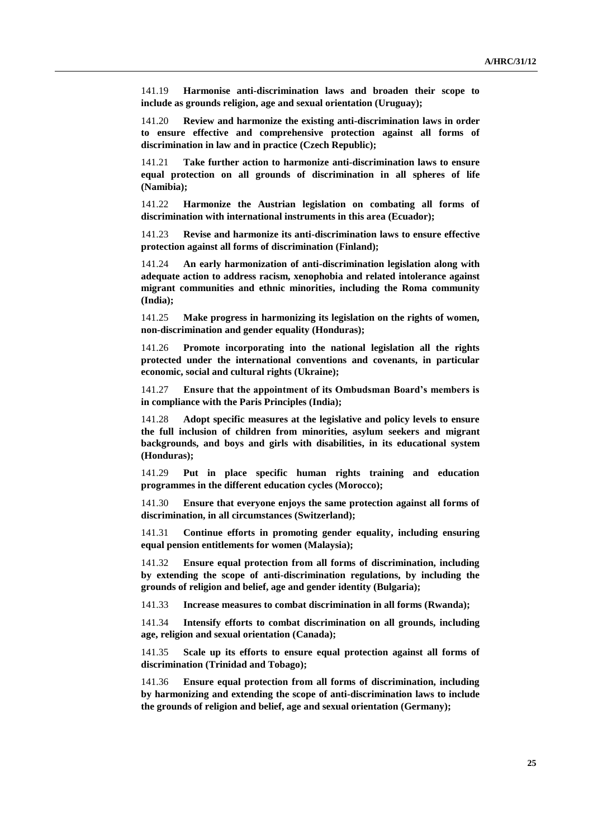141.19 **Harmonise anti-discrimination laws and broaden their scope to include as grounds religion, age and sexual orientation (Uruguay);**

141.20 **Review and harmonize the existing anti-discrimination laws in order to ensure effective and comprehensive protection against all forms of discrimination in law and in practice (Czech Republic);**

141.21 **Take further action to harmonize anti-discrimination laws to ensure equal protection on all grounds of discrimination in all spheres of life (Namibia);**

141.22 **Harmonize the Austrian legislation on combating all forms of discrimination with international instruments in this area (Ecuador);**

141.23 **Revise and harmonize its anti-discrimination laws to ensure effective protection against all forms of discrimination (Finland);**

141.24 **An early harmonization of anti-discrimination legislation along with adequate action to address racism, xenophobia and related intolerance against migrant communities and ethnic minorities, including the Roma community (India);**

141.25 **Make progress in harmonizing its legislation on the rights of women, non-discrimination and gender equality (Honduras);**

141.26 **Promote incorporating into the national legislation all the rights protected under the international conventions and covenants, in particular economic, social and cultural rights (Ukraine);**

141.27 **Ensure that the appointment of its Ombudsman Board's members is in compliance with the Paris Principles (India);**

141.28 **Adopt specific measures at the legislative and policy levels to ensure the full inclusion of children from minorities, asylum seekers and migrant backgrounds, and boys and girls with disabilities, in its educational system (Honduras);**

141.29 **Put in place specific human rights training and education programmes in the different education cycles (Morocco);**

141.30 **Ensure that everyone enjoys the same protection against all forms of discrimination, in all circumstances (Switzerland);**

141.31 **Continue efforts in promoting gender equality, including ensuring equal pension entitlements for women (Malaysia);**

141.32 **Ensure equal protection from all forms of discrimination, including by extending the scope of anti-discrimination regulations, by including the grounds of religion and belief, age and gender identity (Bulgaria);**

141.33 **Increase measures to combat discrimination in all forms (Rwanda);**

141.34 **Intensify efforts to combat discrimination on all grounds, including age, religion and sexual orientation (Canada);**

141.35 **Scale up its efforts to ensure equal protection against all forms of discrimination (Trinidad and Tobago);**

141.36 **Ensure equal protection from all forms of discrimination, including by harmonizing and extending the scope of anti-discrimination laws to include the grounds of religion and belief, age and sexual orientation (Germany);**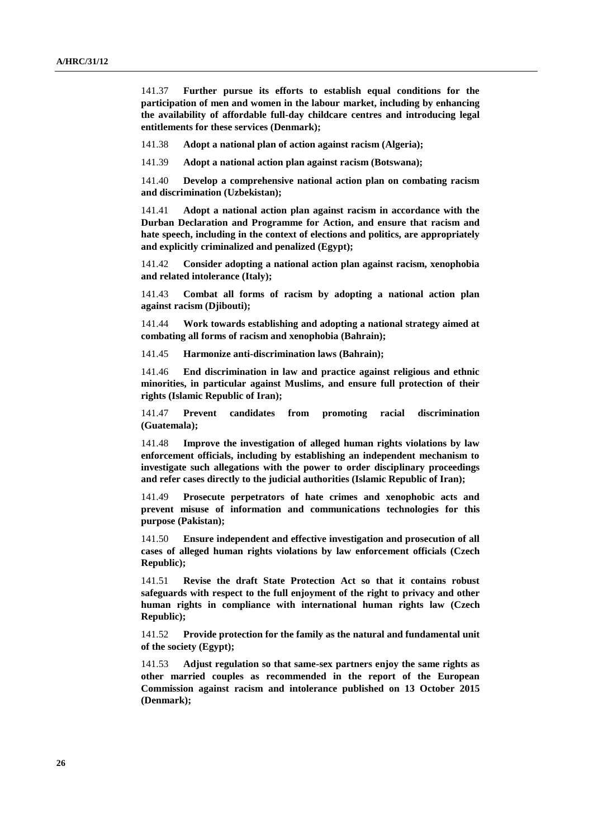141.37 **Further pursue its efforts to establish equal conditions for the participation of men and women in the labour market, including by enhancing the availability of affordable full-day childcare centres and introducing legal entitlements for these services (Denmark);**

141.38 **Adopt a national plan of action against racism (Algeria);**

141.39 **Adopt a national action plan against racism (Botswana);**

141.40 **Develop a comprehensive national action plan on combating racism and discrimination (Uzbekistan);**

141.41 **Adopt a national action plan against racism in accordance with the Durban Declaration and Programme for Action, and ensure that racism and hate speech, including in the context of elections and politics, are appropriately and explicitly criminalized and penalized (Egypt);**

141.42 **Consider adopting a national action plan against racism, xenophobia and related intolerance (Italy);**

141.43 **Combat all forms of racism by adopting a national action plan against racism (Djibouti);**

141.44 **Work towards establishing and adopting a national strategy aimed at combating all forms of racism and xenophobia (Bahrain);** 

141.45 **Harmonize anti-discrimination laws (Bahrain);**

141.46 **End discrimination in law and practice against religious and ethnic minorities, in particular against Muslims, and ensure full protection of their rights (Islamic Republic of Iran);**

141.47 **Prevent candidates from promoting racial discrimination (Guatemala);**

141.48 **Improve the investigation of alleged human rights violations by law enforcement officials, including by establishing an independent mechanism to investigate such allegations with the power to order disciplinary proceedings and refer cases directly to the judicial authorities (Islamic Republic of Iran);**

141.49 **Prosecute perpetrators of hate crimes and xenophobic acts and prevent misuse of information and communications technologies for this purpose (Pakistan);**

141.50 **Ensure independent and effective investigation and prosecution of all cases of alleged human rights violations by law enforcement officials (Czech Republic);**

141.51 **Revise the draft State Protection Act so that it contains robust safeguards with respect to the full enjoyment of the right to privacy and other human rights in compliance with international human rights law (Czech Republic);**

141.52 **Provide protection for the family as the natural and fundamental unit of the society (Egypt);**

141.53 **Adjust regulation so that same-sex partners enjoy the same rights as other married couples as recommended in the report of the European Commission against racism and intolerance published on 13 October 2015 (Denmark);**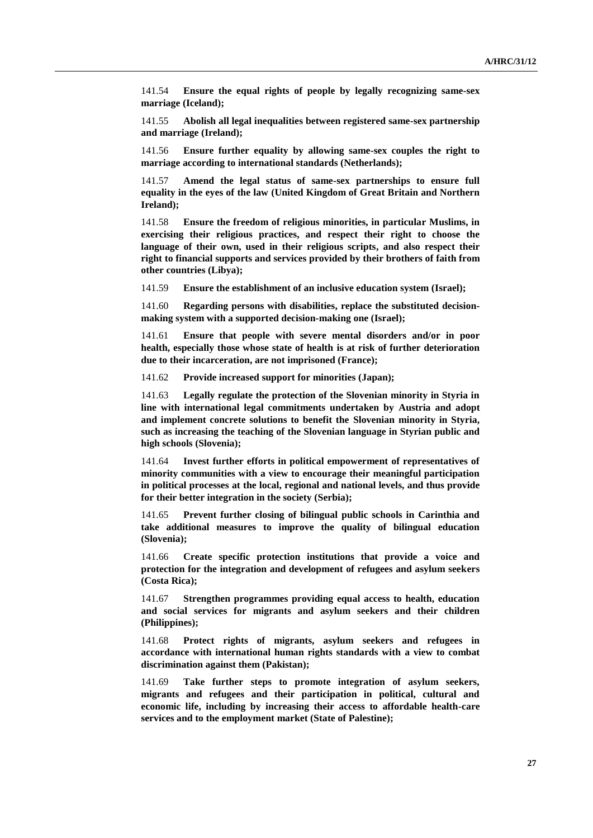141.54 **Ensure the equal rights of people by legally recognizing same-sex marriage (Iceland);**

141.55 **Abolish all legal inequalities between registered same-sex partnership and marriage (Ireland);**

141.56 **Ensure further equality by allowing same-sex couples the right to marriage according to international standards (Netherlands);**

141.57 **Amend the legal status of same-sex partnerships to ensure full equality in the eyes of the law (United Kingdom of Great Britain and Northern Ireland);**

141.58 **Ensure the freedom of religious minorities, in particular Muslims, in exercising their religious practices, and respect their right to choose the language of their own, used in their religious scripts, and also respect their right to financial supports and services provided by their brothers of faith from other countries (Libya);**

141.59 **Ensure the establishment of an inclusive education system (Israel);**

141.60 **Regarding persons with disabilities, replace the substituted decisionmaking system with a supported decision-making one (Israel);**

141.61 **Ensure that people with severe mental disorders and/or in poor health, especially those whose state of health is at risk of further deterioration due to their incarceration, are not imprisoned (France);**

141.62 **Provide increased support for minorities (Japan);**

141.63 **Legally regulate the protection of the Slovenian minority in Styria in line with international legal commitments undertaken by Austria and adopt and implement concrete solutions to benefit the Slovenian minority in Styria, such as increasing the teaching of the Slovenian language in Styrian public and high schools (Slovenia);**

141.64 **Invest further efforts in political empowerment of representatives of minority communities with a view to encourage their meaningful participation in political processes at the local, regional and national levels, and thus provide for their better integration in the society (Serbia);**

141.65 **Prevent further closing of bilingual public schools in Carinthia and take additional measures to improve the quality of bilingual education (Slovenia);**

141.66 **Create specific protection institutions that provide a voice and protection for the integration and development of refugees and asylum seekers (Costa Rica);**

141.67 **Strengthen programmes providing equal access to health, education and social services for migrants and asylum seekers and their children (Philippines);**

141.68 **Protect rights of migrants, asylum seekers and refugees in accordance with international human rights standards with a view to combat discrimination against them (Pakistan);**

141.69 **Take further steps to promote integration of asylum seekers, migrants and refugees and their participation in political, cultural and economic life, including by increasing their access to affordable health-care services and to the employment market (State of Palestine);**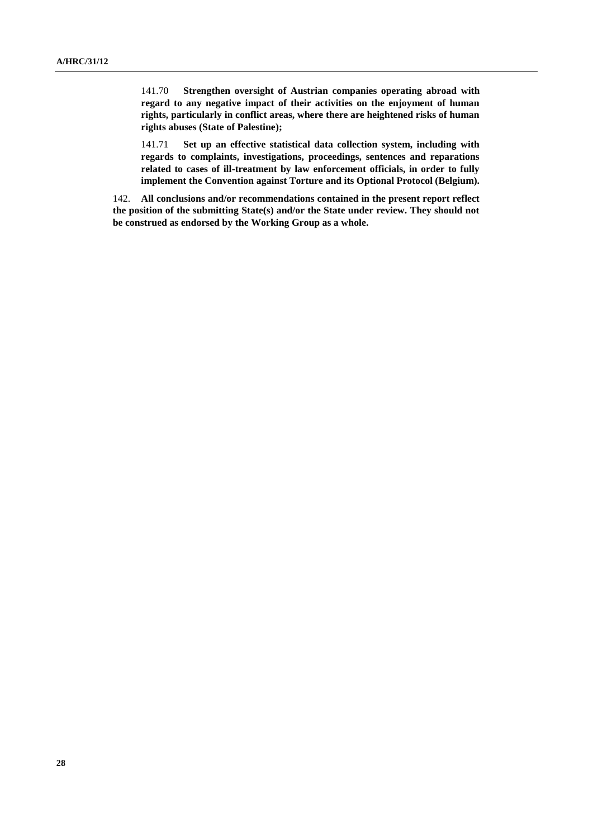141.70 **Strengthen oversight of Austrian companies operating abroad with regard to any negative impact of their activities on the enjoyment of human rights, particularly in conflict areas, where there are heightened risks of human rights abuses (State of Palestine);**

141.71 **Set up an effective statistical data collection system, including with regards to complaints, investigations, proceedings, sentences and reparations related to cases of ill-treatment by law enforcement officials, in order to fully implement the Convention against Torture and its Optional Protocol (Belgium).**

142. **All conclusions and/or recommendations contained in the present report reflect the position of the submitting State(s) and/or the State under review. They should not be construed as endorsed by the Working Group as a whole.**